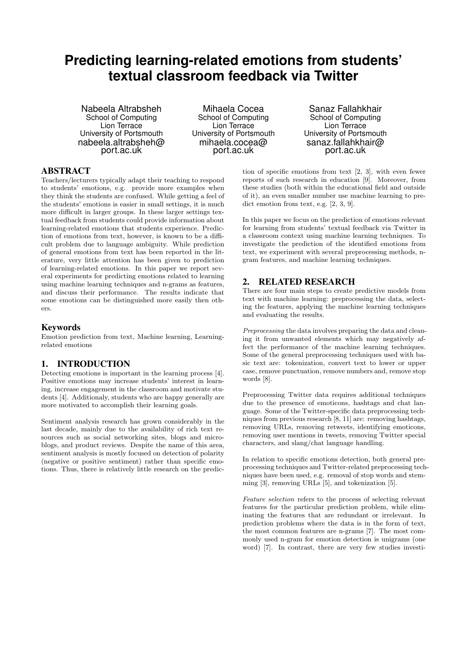# **Predicting learning-related emotions from students' textual classroom feedback via Twitter**

Nabeela Altrabsheh School of Computing Lion Terrace University of Portsmouth nabeela.altrabsheh@ port.ac.uk

Mihaela Cocea School of Computing Lion Terrace University of Portsmouth mihaela.cocea@ port.ac.uk

Sanaz Fallahkhair School of Computing Lion Terrace University of Portsmouth sanaz.fallahkhair@ port.ac.uk

#### ABSTRACT

Teachers/lecturers typically adapt their teaching to respond to students' emotions, e.g. provide more examples when they think the students are confused. While getting a feel of the students' emotions is easier in small settings, it is much more difficult in larger groups. In these larger settings textual feedback from students could provide information about learning-related emotions that students experience. Prediction of emotions from text, however, is known to be a difficult problem due to language ambiguity. While prediction of general emotions from text has been reported in the literature, very little attention has been given to prediction of learning-related emotions. In this paper we report several experiments for predicting emotions related to learning using machine learning techniques and n-grams as features, and discuss their performance. The results indicate that some emotions can be distinguished more easily then others.

#### Keywords

Emotion prediction from text, Machine learning, Learningrelated emotions

## 1. INTRODUCTION

Detecting emotions is important in the learning process [4]. Positive emotions may increase students' interest in learning, increase engagement in the classroom and motivate students [4]. Additionaly, students who are happy generally are more motivated to accomplish their learning goals.

Sentiment analysis research has grown considerably in the last decade, mainly due to the availability of rich text resources such as social networking sites, blogs and microblogs, and product reviews. Despite the name of this area, sentiment analysis is mostly focused on detection of polarity (negative or positive sentiment) rather than specific emotions. Thus, there is relatively little research on the predic-

tion of specific emotions from text [2, 3], with even fewer reports of such research in education [9]. Moreover, from these studies (both within the educational field and outside of it), an even smaller number use machine learning to predict emotion from text, e.g. [2, 3, 9].

In this paper we focus on the prediction of emotions relevant for learning from students' textual feedback via Twitter in a classroom context using machine learning techniques. To investigate the prediction of the identified emotions from text, we experiment with several preprocessing methods, ngram features, and machine learning techniques.

#### 2. RELATED RESEARCH

There are four main steps to create predictive models from text with machine learning: preprocessing the data, selecting the features, applying the machine learning techniques and evaluating the results.

Preprocessing the data involves preparing the data and cleaning it from unwanted elements which may negatively affect the performance of the machine learning techniques. Some of the general preprocessing techniques used with basic text are: tokenization, convert text to lower or upper case, remove punctuation, remove numbers and, remove stop words [8].

Preprocessing Twitter data requires additional techniques due to the presence of emoticons, hashtags and chat language. Some of the Twitter-specific data preprocessing techniques from previous research [8, 11] are: removing hashtags, removing URLs, removing retweets, identifying emoticons, removing user mentions in tweets, removing Twitter special characters, and slang/chat language handling.

In relation to specific emotions detection, both general preprocessing techniques and Twitter-related preprocessing techniques have been used, e.g. removal of stop words and stemming [3], removing URLs [5], and tokenization [5].

Feature selection refers to the process of selecting relevant features for the particular prediction problem, while eliminating the features that are redundant or irrelevant. In prediction problems where the data is in the form of text, the most common features are n-grams [7]. The most commonly used n-gram for emotion detection is unigrams (one word) [7]. In contrast, there are very few studies investi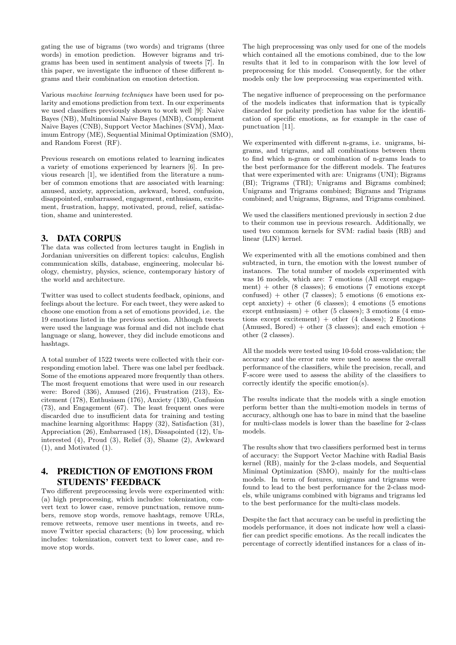gating the use of bigrams (two words) and trigrams (three words) in emotion prediction. However bigrams and trigrams has been used in sentiment analysis of tweets [7]. In this paper, we investigate the influence of these different ngrams and their combination on emotion detection.

Various machine learning techniques have been used for polarity and emotions prediction from text. In our experiments we used classifiers previously shown to work well [9]: Naive Bayes (NB), Multinomial Naive Bayes (MNB), Complement Naive Bayes (CNB), Support Vector Machines (SVM), Maximum Entropy (ME), Sequential Minimal Optimization (SMO), and Random Forest (RF).

Previous research on emotions related to learning indicates a variety of emotions experienced by learners [6]. In previous research [1], we identified from the literature a number of common emotions that are associated with learning: amused, anxiety, appreciation, awkward, bored, confusion, disappointed, embarrassed, engagement, enthusiasm, excitement, frustration, happy, motivated, proud, relief, satisfaction, shame and uninterested.

### 3. DATA CORPUS

The data was collected from lectures taught in English in Jordanian universities on different topics: calculus, English communication skills, database, engineering, molecular biology, chemistry, physics, science, contemporary history of the world and architecture.

Twitter was used to collect students feedback, opinions, and feelings about the lecture. For each tweet, they were asked to choose one emotion from a set of emotions provided, i.e. the 19 emotions listed in the previous section. Although tweets were used the language was formal and did not include chat language or slang, however, they did include emoticons and hashtags.

A total number of 1522 tweets were collected with their corresponding emotion label. There was one label per feedback. Some of the emotions appeared more frequently than others. The most frequent emotions that were used in our research were: Bored (336), Amused (216), Frustration (213), Excitement (178), Enthusiasm (176), Anxiety (130), Confusion (73), and Engagement (67). The least frequent ones were discarded due to insufficient data for training and testing machine learning algorithms: Happy (32), Satisfaction (31), Appreciation (26), Embarrased (18), Dissapointed (12), Uninterested (4), Proud (3), Relief (3), Shame (2), Awkward (1), and Motivated (1).

## 4. PREDICTION OF EMOTIONS FROM STUDENTS' FEEDBACK

Two different preprocessing levels were experimented with: (a) high preprocessing, which includes: tokenization, convert text to lower case, remove punctuation, remove numbers, remove stop words, remove hashtags, remove URLs, remove retweets, remove user mentions in tweets, and remove Twitter special characters; (b) low processing, which includes: tokenization, convert text to lower case, and remove stop words.

The high preprocessing was only used for one of the models which contained all the emotions combined, due to the low results that it led to in comparison with the low level of preprocessing for this model. Consequently, for the other models only the low preprocessing was experimented with.

The negative influence of preprocessing on the performance of the models indicates that information that is typically discarded for polarity prediction has value for the identification of specific emotions, as for example in the case of punctuation [11].

We experimented with different n-grams, i.e. unigrams, bigrams, and trigrams, and all combinations between them to find which n-gram or combination of n-grams leads to the best performance for the different models. The features that were experimented with are: Unigrams (UNI); Bigrams (BI); Trigrams (TRI); Unigrams and Bigrams combined; Unigrams and Trigrams combined; Bigrams and Trigrams combined; and Unigrams, Bigrams, and Trigrams combined.

We used the classifiers mentioned previously in section 2 due to their common use in previous research. Additionally, we used two common kernels for SVM: radial basis (RB) and linear (LIN) kernel.

We experimented with all the emotions combined and then subtracted, in turn, the emotion with the lowest number of instances. The total number of models experimented with was 16 models, which are: 7 emotions (All except engagement) + other (8 classes); 6 emotions (7 emotions except  $confused$ ) + other (7 classes); 5 emotions (6 emotions except anxiety) + other (6 classes); 4 emotions (5 emotions except enthusiasm) + other (5 classes); 3 emotions (4 emotions except excitement) + other (4 classes); 2 Emotions  $(Amused, Bored) + other (3 classes); and each emotion +$ other (2 classes).

All the models were tested using 10-fold cross-validation; the accuracy and the error rate were used to assess the overall performance of the classifiers, while the precision, recall, and F-score were used to assess the ability of the classifiers to correctly identify the specific emotion(s).

The results indicate that the models with a single emotion perform better than the multi-emotion models in terms of accuracy, although one has to bare in mind that the baseline for multi-class models is lower than the baseline for 2-class models.

The results show that two classifiers performed best in terms of accuracy: the Support Vector Machine with Radial Basis kernel (RB), mainly for the 2-class models, and Sequential Minimal Optimization (SMO), mainly for the multi-class models. In term of features, unigrams and trigrams were found to lead to the best performance for the 2-class models, while unigrams combined with bigrams and trigrams led to the best performance for the multi-class models.

Despite the fact that accuracy can be useful in predicting the models performance, it does not indicate how well a classifier can predict specific emotions. As the recall indicates the percentage of correctly identified instances for a class of in-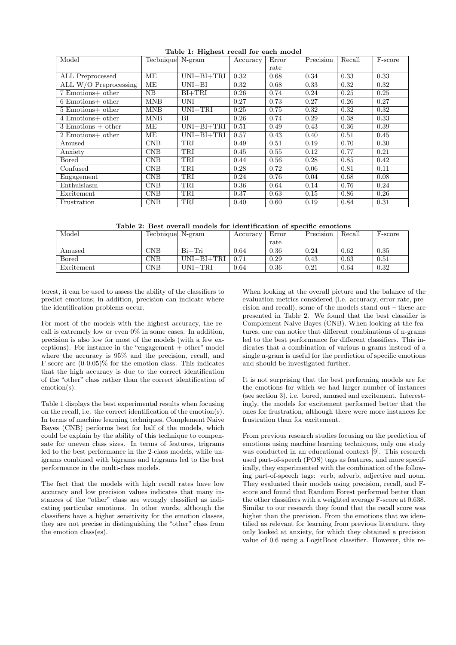| Model                   | Tecbnique  | $N-gram$         | Accuracy | Error | Precision | Recall | F-score |
|-------------------------|------------|------------------|----------|-------|-----------|--------|---------|
|                         |            |                  |          | rate  |           |        |         |
| ALL Preprocessed        | ME         | $UNI + BI + TRI$ | 0.32     | 0.68  | 0.34      | 0.33   | 0.33    |
| ALL $W/O$ Preprocessing | ME         | $UNI + BI$       | 0.32     | 0.68  | 0.33      | 0.32   | 0.32    |
| 7 Emotions+ other       | NB         | $BI+TRI$         | 0.26     | 0.74  | 0.24      | 0.25   | 0.25    |
| $6$ Emotions+ other     | <b>MNB</b> | UNI              | 0.27     | 0.73  | 0.27      | 0.26   | 0.27    |
| $5$ Emotions+ other     | <b>MNB</b> | $UNI+TRI$        | 0.25     | 0.75  | 0.32      | 0.32   | 0.32    |
| 4 Emotions+ other       | <b>MNB</b> | ВI               | 0.26     | 0.74  | 0.29      | 0.38   | 0.33    |
| $3$ Emotions $+$ other  | ME         | $UNI + BI + TRI$ | 0.51     | 0.49  | 0.43      | 0.36   | 0.39    |
| 2 Emotions+ other       | MЕ         | $UNI + BI + TRI$ | 0.57     | 0.43  | 0.40      | 0.51   | 0.45    |
| Amused                  | CNB        | TRI              | 0.49     | 0.51  | 0.19      | 0.70   | 0.30    |
| Anxiety                 | CNB        | TRI              | 0.45     | 0.55  | 0.12      | 0.77   | 0.21    |
| Bored                   | CNB        | TRI              | 0.44     | 0.56  | 0.28      | 0.85   | 0.42    |
| Confused                | CNB        | TRI              | 0.28     | 0.72  | 0.06      | 0.81   | 0.11    |
| Engagement              | CNB        | TRI              | 0.24     | 0.76  | 0.04      | 0.68   | 0.08    |
| Enthuisiasm             | CNB        | TRI              | 0.36     | 0.64  | 0.14      | 0.76   | 0.24    |
| Excitement              | CNB        | TRI              | 0.37     | 0.63  | 0.15      | 0.86   | 0.26    |
| Frustration             | <b>CNB</b> | TRI              | 0.40     | 0.60  | 0.19      | 0.84   | 0.31    |

Table 1: Highest recall for each model

Table 2: Best overall models for identification of specific emotions

| Model      | Tecbnique N-gram |                  | Accuracy | Error | Precision | Recall | F-score |
|------------|------------------|------------------|----------|-------|-----------|--------|---------|
|            |                  |                  |          | rate  |           |        |         |
| Amused     | $_{\rm CNB}$     | $Bi+Tri$         | 0.64     | 0.36  | 0.24      | 0.62   | 0.35    |
| Bored      | $_{\rm CNB}$     | $UNI + BI + TRI$ | 0.71     | 0.29  | 0.43      | 0.63   | 0.51    |
| Excitement | $_{\rm CNB}$     | UNI+TRI          | 0.64     | 0.36  | 0.21      | 0.64   | 0.32    |

terest, it can be used to assess the ability of the classifiers to predict emotions; in addition, precision can indicate where the identification problems occur.

For most of the models with the highest accuracy, the recall is extremely low or even 0% in some cases. In addition, precision is also low for most of the models (with a few exceptions). For instance in the "engagement  $+$  other" model where the accuracy is 95% and the precision, recall, and F-score are (0-0.05)% for the emotion class. This indicates that the high accuracy is due to the correct identification of the "other" class rather than the correct identification of emotion(s).

Table 1 displays the best experimental results when focusing on the recall, i.e. the correct identification of the emotion(s). In terms of machine learning techniques, Complement Naive Bayes (CNB) performs best for half of the models, which could be explain by the ability of this technique to compensate for uneven class sizes. In terms of features, trigrams led to the best performance in the 2-class models, while unigrams combined with bigrams and trigrams led to the best performance in the multi-class models.

The fact that the models with high recall rates have low accuracy and low precision values indicates that many instances of the "other" class are wrongly classified as indicating particular emotions. In other words, although the classifiers have a higher sensitivity for the emotion classes, they are not precise in distinguishing the "other" class from the emotion class(es).

When looking at the overall picture and the balance of the evaluation metrics considered (i.e. accuracy, error rate, precision and recall), some of the models stand out – these are presented in Table 2. We found that the best classifier is Complement Naive Bayes (CNB). When looking at the features, one can notice that different combinations of n-grams led to the best performance for different classifiers. This indicates that a combination of various n-grams instead of a single n-gram is useful for the prediction of specific emotions and should be investigated further.

It is not surprising that the best performing models are for the emotions for which we had larger number of instances (see section 3), i.e. bored, amused and excitement. Interestingly, the models for excitement performed better that the ones for frustration, although there were more instances for frustration than for excitement.

From previous research studies focusing on the prediction of emotions using machine learning techniques, only one study was conducted in an educational context [9]. This research used part-of-speech (POS) tags as features, and more specifically, they experimented with the combination of the following part-of-speech tags: verb, adverb, adjective and noun. They evaluated their models using precision, recall, and Fscore and found that Random Forest performed better than the other classifiers with a weighted average F-score at 0.638. Similar to our research they found that the recall score was higher than the precision. From the emotions that we identified as relevant for learning from previous literature, they only looked at anxiety, for which they obtained a precision value of 0.6 using a LogitBoot classifier. However, this re